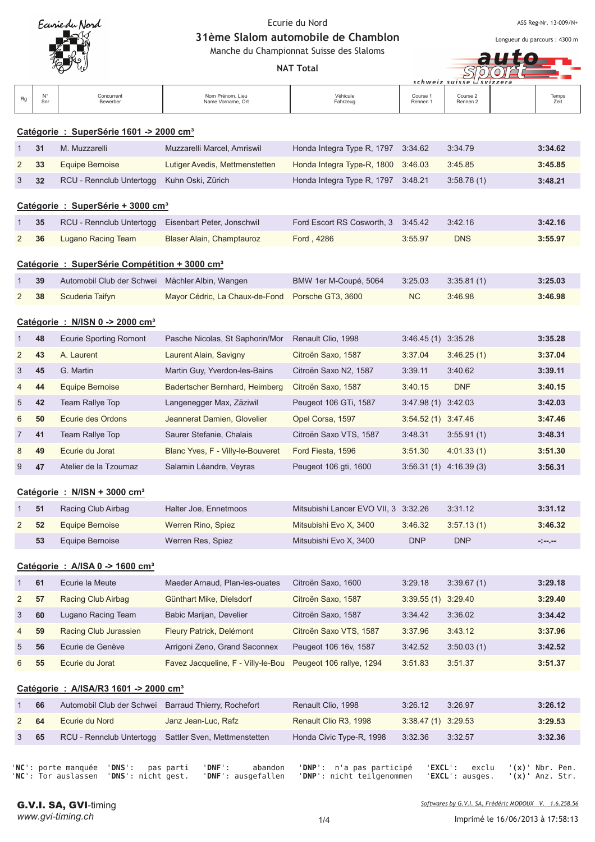

ASS Reg-Nr. 13-009/N+

Longueur du parcours : 4300 m

31ème Slalom automobile de Chamblon Manche du Championnat Suisse des Slaloms

|                |           |                                                          |                                       | Manche du Championnat Suisse des Slaloms |                        |                          |               |
|----------------|-----------|----------------------------------------------------------|---------------------------------------|------------------------------------------|------------------------|--------------------------|---------------|
|                |           |                                                          |                                       | <b>NAT Total</b>                         | schweiz suisse         |                          |               |
| Rg             | N°<br>Snr | Concurrent<br>Bewerber                                   | Nom Prénom, Lieu<br>Name Vorname, Ort | Véhicule<br>Fahrzeug                     | Course 1<br>Rennen 1   | Course 2<br>Rennen 2     | Temps<br>Zeit |
|                |           | Catégorie : SuperSérie 1601 -> 2000 cm <sup>3</sup>      |                                       |                                          |                        |                          |               |
| $\mathbf{1}$   | 31        | M. Muzzarelli                                            | Muzzarelli Marcel, Amriswil           | Honda Integra Type R, 1797               | 3:34.62                | 3:34.79                  | 3:34.62       |
| 2              | 33        | <b>Equipe Bernoise</b>                                   | Lutiger Avedis, Mettmenstetten        | Honda Integra Type-R, 1800               | 3:46.03                | 3:45.85                  | 3:45.85       |
| 3              | 32        | RCU - Rennclub Untertogg                                 | Kuhn Oski, Zürich                     | Honda Integra Type R, 1797               | 3:48.21                | 3:58.78(1)               | 3:48.21       |
|                |           | Catégorie : SuperSérie + 3000 cm <sup>3</sup>            |                                       |                                          |                        |                          |               |
| 1              | 35        | RCU - Rennclub Untertogg                                 | Eisenbart Peter, Jonschwil            | Ford Escort RS Cosworth, 3               | 3:45.42                | 3:42.16                  | 3:42.16       |
| 2              | 36        | Lugano Racing Team                                       | Blaser Alain, Champtauroz             | Ford, 4286                               | 3:55.97                | <b>DNS</b>               | 3:55.97       |
|                |           | Catégorie: SuperSérie Compétition + 3000 cm <sup>3</sup> |                                       |                                          |                        |                          |               |
| 1              | 39        | Automobil Club der Schwei                                | Mächler Albin, Wangen                 | BMW 1er M-Coupé, 5064                    | 3:25.03                | 3:35.81(1)               | 3:25.03       |
| $\overline{2}$ | 38        | Scuderia Taifyn                                          | Mayor Cédric, La Chaux-de-Fond        | Porsche GT3, 3600                        | <b>NC</b>              | 3:46.98                  | 3:46.98       |
|                |           | Catégorie: N/ISN 0 -> 2000 cm <sup>3</sup>               |                                       |                                          |                        |                          |               |
| 1              | 48        | <b>Ecurie Sporting Romont</b>                            | Pasche Nicolas, St Saphorin/Mor       | Renault Clio, 1998                       | 3:46.45(1)             | 3:35.28                  | 3:35.28       |
| 2              | 43        | A. Laurent                                               | Laurent Alain, Savigny                | Citroën Saxo, 1587                       | 3:37.04                | 3:46.25(1)               | 3:37.04       |
| 3              | 45        | G. Martin                                                | Martin Guy, Yverdon-les-Bains         | Citroën Saxo N2, 1587                    | 3:39.11                | 3:40.62                  | 3:39.11       |
| 4              | 44        | <b>Equipe Bernoise</b>                                   | Badertscher Bernhard, Heimberg        | Citroën Saxo, 1587                       | 3:40.15                | <b>DNF</b>               | 3:40.15       |
| 5              | 42        | Team Rallye Top                                          | Langenegger Max, Zäziwil              | Peugeot 106 GTi, 1587                    | $3:47.98(1)$ $3:42.03$ |                          | 3:42.03       |
| 6              | 50        | Ecurie des Ordons                                        | Jeannerat Damien, Glovelier           | Opel Corsa, 1597                         | $3:54.52(1)$ $3:47.46$ |                          | 3:47.46       |
| 7              | 41        | Team Rallye Top                                          | Saurer Stefanie, Chalais              | Citroën Saxo VTS, 1587                   | 3:48.31                | 3:55.91(1)               | 3:48.31       |
| 8              | 49        | Ecurie du Jorat                                          | Blanc Yves, F - Villy-le-Bouveret     | Ford Fiesta, 1596                        | 3:51.30                | 4:01.33(1)               | 3:51.30       |
| 9              | 47        | Atelier de la Tzoumaz                                    | Salamin Léandre, Veyras               | Peugeot 106 gti, 1600                    |                        | $3:56.31(1)$ 4:16.39 (3) | 3:56.31       |
|                |           | Catégorie : N/ISN + 3000 cm <sup>3</sup>                 |                                       |                                          |                        |                          |               |
| 1              | 51        | Racing Club Airbag                                       | Halter Joe, Ennetmoos                 | Mitsubishi Lancer EVO VII, 3 3:32.26     |                        | 3:31.12                  | 3:31.12       |
| 2              | 52        | <b>Equipe Bernoise</b>                                   | Werren Rino, Spiez                    | Mitsubishi Evo X, 3400                   | 3:46.32                | 3:57.13(1)               | 3:46.32       |
|                | 53        | Equipe Bernoise                                          | Werren Res, Spiez                     | Mitsubishi Evo X, 3400                   | <b>DNP</b>             | <b>DNP</b>               | المرمورة      |
|                |           |                                                          |                                       |                                          |                        |                          |               |
|                |           | Catégorie: A/ISA 0 -> 1600 cm <sup>3</sup>               |                                       |                                          |                        |                          |               |
| 1              | 61        | Ecurie la Meute                                          | Maeder Arnaud, Plan-les-ouates        | Citroën Saxo, 1600                       | 3:29.18                | 3:39.67(1)               | 3:29.18       |
| 2              | 57        | Racing Club Airbag                                       | Günthart Mike, Dielsdorf              | Citroën Saxo, 1587                       | 3:39.55(1)             | 3:29.40                  | 3:29.40       |
| 3              | 60        | Lugano Racing Team                                       | Babic Marijan, Develier               | Citroën Saxo, 1587                       | 3:34.42                | 3:36.02                  | 3:34.42       |
| 4              | 59        | Racing Club Jurassien                                    | Fleury Patrick, Delémont              | Citroën Saxo VTS, 1587                   | 3:37.96                | 3:43.12                  | 3:37.96       |
| 5              | 56        | Ecurie de Genève                                         | Arrigoni Zeno, Grand Saconnex         | Peugeot 106 16v, 1587                    | 3:42.52                | 3:50.03(1)               | 3:42.52       |
| 6              | 55        | Ecurie du Jorat                                          | Favez Jacqueline, F - Villy-le-Bou    | Peugeot 106 rallye, 1294                 | 3:51.83                | 3:51.37                  | 3:51.37       |
|                |           | Catégorie : A/ISA/R3 1601 -> 2000 cm <sup>3</sup>        |                                       |                                          |                        |                          |               |
| 1              | 66        | Automobil Club der Schwei                                | Barraud Thierry, Rochefort            | Renault Clio, 1998                       | 3:26.12                | 3:26.97                  | 3:26.12       |
| 2              | 64        | Ecurie du Nord                                           | Janz Jean-Luc, Rafz                   | Renault Clio R3, 1998                    | $3:38.47(1)$ $3:29.53$ |                          | 3:29.53       |
| 3              | 65        | RCU - Rennclub Untertogg                                 | Sattler Sven, Mettmenstetten          | Honda Civic Type-R, 1998                 | 3:32.36                | 3:32.57                  | 3:32.36       |

'NC': porte manquée 'DNS': pas pa rti 'DNF': aba 'NC': Tor auslassen 'DNS': nicht gest. 'DNF': ausgefa

ndon 'DNP': n'a pas participé 'EXC llen 'DNP': nicht teilgenommen 'EXC

**L**': exclu '( **x)**' Nbr. Pen. **L**': ausges. '( **x)'** Anz. Str.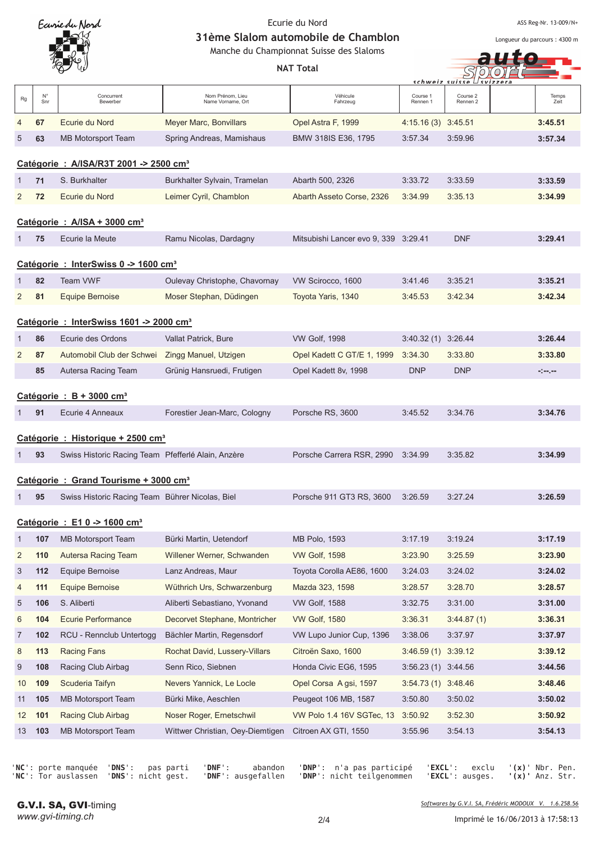

ASS Reg-Nr. 13-009/N+

Longueur du parcours : 4300 m

auto -

31ème Slalom automobile de Chamblon

Manche du Championnat Suisse des Slaloms

|                 |                                        | v v                                                 |                                       | <b>NAT Total</b>                     |                      | schweiz suisse ∟svizzera |               |  |  |  |
|-----------------|----------------------------------------|-----------------------------------------------------|---------------------------------------|--------------------------------------|----------------------|--------------------------|---------------|--|--|--|
| Rg              | $N^{\circ}$<br>Snr                     | Concurrent<br>Bewerber                              | Nom Prénom, Lieu<br>Name Vorname, Ort | Véhicule<br>Fahrzeug                 | Course 1<br>Rennen 1 | Course 2<br>Rennen 2     | Temps<br>Zeit |  |  |  |
| 4               | 67                                     | Ecurie du Nord                                      | Meyer Marc, Bonvillars                | Opel Astra F, 1999                   | $4:15.16(3)$ 3:45.51 |                          | 3:45.51       |  |  |  |
| 5               | 63                                     | MB Motorsport Team                                  | Spring Andreas, Mamishaus             | BMW 318IS E36, 1795                  | 3:57.34              | 3:59.96                  | 3:57.34       |  |  |  |
|                 |                                        | Catégorie : A/ISA/R3T 2001 -> 2500 cm <sup>3</sup>  |                                       |                                      |                      |                          |               |  |  |  |
| 1               | 71                                     | S. Burkhalter                                       | Burkhalter Sylvain, Tramelan          | Abarth 500, 2326                     | 3:33.72              | 3:33.59                  | 3:33.59       |  |  |  |
| 2               | 72                                     | Ecurie du Nord                                      | Leimer Cyril, Chamblon                | Abarth Asseto Corse, 2326            | 3:34.99              | 3:35.13                  | 3:34.99       |  |  |  |
|                 |                                        | Catégorie : $A/ISA + 3000$ cm <sup>3</sup>          |                                       |                                      |                      |                          |               |  |  |  |
| 1               | 75                                     | Ecurie la Meute                                     | Ramu Nicolas, Dardagny                | Mitsubishi Lancer evo 9, 339 3:29.41 |                      | <b>DNF</b>               | 3:29.41       |  |  |  |
|                 |                                        | Catégorie : InterSwiss 0 -> 1600 cm <sup>3</sup>    |                                       |                                      |                      |                          |               |  |  |  |
| 1               | 82                                     | Team VWF                                            | Oulevay Christophe, Chavornay         | VW Scirocco, 1600                    | 3:41.46              | 3:35.21                  | 3:35.21       |  |  |  |
| $\overline{2}$  | 81                                     | <b>Equipe Bernoise</b>                              | Moser Stephan, Düdingen               | Toyota Yaris, 1340                   | 3:45.53              | 3:42.34                  | 3:42.34       |  |  |  |
|                 |                                        | Catégorie : InterSwiss 1601 -> 2000 cm <sup>3</sup> |                                       |                                      |                      |                          |               |  |  |  |
| 1               | 86                                     | Ecurie des Ordons                                   | Vallat Patrick, Bure                  | <b>VW Golf, 1998</b>                 | 3:40.32 (1) 3:26.44  |                          | 3:26.44       |  |  |  |
| 2               | 87                                     | Automobil Club der Schwei                           | Zingg Manuel, Utzigen                 | Opel Kadett C GT/E 1, 1999           | 3:34.30              | 3:33.80                  | 3:33.80       |  |  |  |
|                 | 85                                     | Autersa Racing Team                                 | Grünig Hansruedi, Frutigen            | Opel Kadett 8v, 1998                 | <b>DNP</b>           | <b>DNP</b>               | المرمورة      |  |  |  |
|                 | Catégorie : $B + 3000$ cm <sup>3</sup> |                                                     |                                       |                                      |                      |                          |               |  |  |  |
| 1               | 91                                     | Ecurie 4 Anneaux                                    | Forestier Jean-Marc, Cologny          | Porsche RS, 3600                     | 3:45.52              | 3:34.76                  | 3:34.76       |  |  |  |
|                 |                                        | Catégorie : Historique + 2500 cm <sup>3</sup>       |                                       |                                      |                      |                          |               |  |  |  |
| 1               | 93                                     | Swiss Historic Racing Team Pfefferlé Alain, Anzère  |                                       | Porsche Carrera RSR, 2990            | 3:34.99              | 3:35.82                  | 3:34.99       |  |  |  |
|                 |                                        | Catégorie : Grand Tourisme + 3000 cm <sup>3</sup>   |                                       |                                      |                      |                          |               |  |  |  |
| 1               | 95                                     | Swiss Historic Racing Team Bührer Nicolas, Biel     |                                       | Porsche 911 GT3 RS, 3600             | 3:26.59              | 3:27.24                  | 3:26.59       |  |  |  |
|                 |                                        | Catégorie : E1 0 -> 1600 cm <sup>3</sup>            |                                       |                                      |                      |                          |               |  |  |  |
| $\mathbf{1}$    | 107                                    | MB Motorsport Team                                  | Bürki Martin, Uetendorf               | MB Polo, 1593                        | 3:17.19              | 3:19.24                  | 3:17.19       |  |  |  |
| $\overline{c}$  | 110                                    | Autersa Racing Team                                 | Willener Werner, Schwanden            | <b>VW Golf, 1598</b>                 | 3:23.90              | 3:25.59                  | 3:23.90       |  |  |  |
| 3               | 112                                    | Equipe Bernoise                                     | Lanz Andreas, Maur                    | Toyota Corolla AE86, 1600            | 3:24.03              | 3:24.02                  | 3:24.02       |  |  |  |
| 4               | 111                                    | Equipe Bernoise                                     | Wüthrich Urs, Schwarzenburg           | Mazda 323, 1598                      | 3:28.57              | 3:28.70                  | 3:28.57       |  |  |  |
| 5               | 106                                    | S. Aliberti                                         | Aliberti Sebastiano, Yvonand          | <b>VW Golf, 1588</b>                 | 3:32.75              | 3:31.00                  | 3:31.00       |  |  |  |
| 6               | 104                                    | <b>Ecurie Performance</b>                           | Decorvet Stephane, Montricher         | <b>VW Golf, 1580</b>                 | 3:36.31              | 3:44.87(1)               | 3:36.31       |  |  |  |
| $\overline{7}$  | 102                                    | RCU - Rennclub Untertogg                            | Bächler Martin, Regensdorf            | VW Lupo Junior Cup, 1396             | 3:38.06              | 3:37.97                  | 3:37.97       |  |  |  |
| 8               | 113                                    | Racing Fans                                         | Rochat David, Lussery-Villars         | Citroën Saxo, 1600                   | 3:46.59 (1)          | 3:39.12                  | 3:39.12       |  |  |  |
| 9               | 108                                    | Racing Club Airbag                                  | Senn Rico, Siebnen                    | Honda Civic EG6, 1595                | 3:56.23 (1) 3:44.56  |                          | 3:44.56       |  |  |  |
| 10              | 109                                    | Scuderia Taifyn                                     | Nevers Yannick, Le Locle              | Opel Corsa Agsi, 1597                | 3:54.73 (1) 3:48.46  |                          | 3:48.46       |  |  |  |
| 11              | 105                                    | MB Motorsport Team                                  | Bürki Mike, Aeschlen                  | Peugeot 106 MB, 1587                 | 3:50.80              | 3:50.02                  | 3:50.02       |  |  |  |
| 12 <sub>2</sub> | 101                                    | Racing Club Airbag                                  | Noser Roger, Ernetschwil              | VW Polo 1.4 16V SGTec, 13            | 3:50.92              | 3:52.30                  | 3:50.92       |  |  |  |
| 13              | 103                                    | <b>MB Motorsport Team</b>                           | Wittwer Christian, Oey-Diemtigen      | Citroen AX GTI, 1550                 | 3:55.96              | 3:54.13                  | 3:54.13       |  |  |  |

'NC': porte manquée 'DNS': pas pa 'NC': Tor auslassen 'DNS': nicht gest. 'DNF':

rti 'DNF': aba ausgefa

ndon 'DNP': n'a pas participé 'EXC llen 'DNP': nicht teilgenommen 'EXC

**L**': exclu '( **x)**' Nbr. Pen. **L**': ausges. '( **x)'** Anz. Str.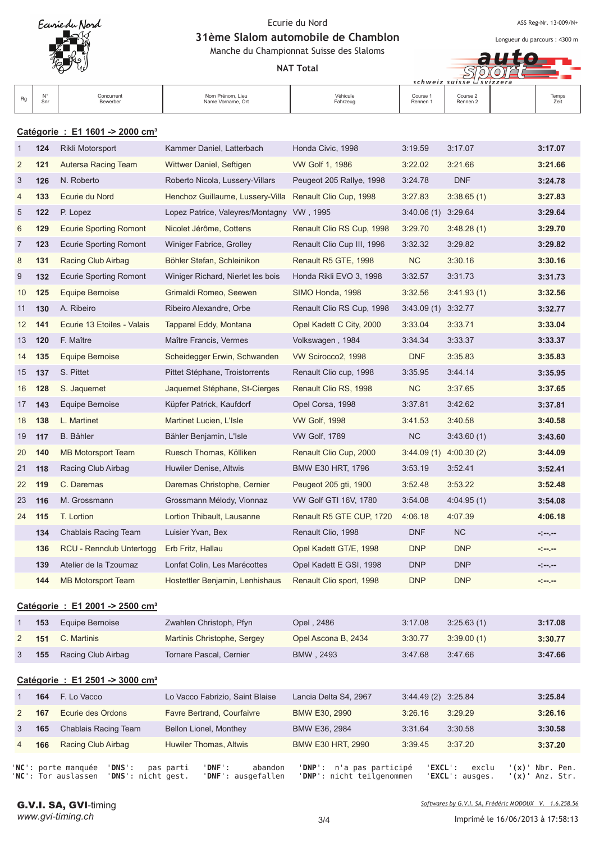

ASS Reg-Nr. 13-009/N+

Longueur du parcours : 4300 m

31ème Slalom automobile de Chamblon Manche du Championnat Suisse des Slaloms

**NAT Total** 

SOO schweiz sui

| A1 <sup>o</sup><br><i>`/éhicule</i><br>Course 2<br>Course<br>Nom Prénom, Lieu<br>Concurrent<br>Temps<br>Rg<br>$\mathbf{N}$<br>Fahrzeug<br>Bewerber<br>Name Vorname, Ort<br>Rennen 2<br>Snr<br>Rennen 1<br>Zeit |  |  |  |  |  |  |
|----------------------------------------------------------------------------------------------------------------------------------------------------------------------------------------------------------------|--|--|--|--|--|--|
|----------------------------------------------------------------------------------------------------------------------------------------------------------------------------------------------------------------|--|--|--|--|--|--|

# **Catégorie : E1 1601 -> 2000 cm³**

| $\mathbf{1}$   | 124 | Rikli Motorsport                            | Kammer Daniel, Latterbach         | Honda Civic, 1998          | 3:19.59                | 3:17.07                 | 3:17.07      |
|----------------|-----|---------------------------------------------|-----------------------------------|----------------------------|------------------------|-------------------------|--------------|
| $\overline{c}$ | 121 | Autersa Racing Team                         | Wittwer Daniel, Seftigen          | VW Golf 1, 1986            | 3:22.02                | 3:21.66                 | 3:21.66      |
| 3              | 126 | N. Roberto                                  | Roberto Nicola, Lussery-Villars   | Peugeot 205 Rallye, 1998   | 3:24.78                | <b>DNF</b>              | 3:24.78      |
| $\overline{4}$ | 133 | Ecurie du Nord                              | Henchoz Guillaume, Lussery-Villa  | Renault Clio Cup, 1998     | 3:27.83                | 3:38.65(1)              | 3:27.83      |
| 5              | 122 | P. Lopez                                    | Lopez Patrice, Valeyres/Montagny  | VW, 1995                   | $3:40.06(1)$ $3:29.64$ |                         | 3:29.64      |
| 6              | 129 | <b>Ecurie Sporting Romont</b>               | Nicolet Jérôme, Cottens           | Renault Clio RS Cup, 1998  | 3:29.70                | 3:48.28(1)              | 3:29.70      |
| 7              | 123 | Ecurie Sporting Romont                      | Winiger Fabrice, Grolley          | Renault Clio Cup III, 1996 | 3:32.32                | 3:29.82                 | 3:29.82      |
| 8              | 131 | Racing Club Airbag                          | Böhler Stefan, Schleinikon        | Renault R5 GTE, 1998       | NC                     | 3:30.16                 | 3:30.16      |
| 9              | 132 | Ecurie Sporting Romont                      | Winiger Richard, Nierlet les bois | Honda Rikli EVO 3, 1998    | 3:32.57                | 3:31.73                 | 3:31.73      |
| 10             | 125 | Equipe Bernoise                             | Grimaldi Romeo, Seewen            | SIMO Honda, 1998           | 3:32.56                | 3:41.93(1)              | 3:32.56      |
| 11             | 130 | A. Ribeiro                                  | Ribeiro Alexandre, Orbe           | Renault Clio RS Cup, 1998  | $3:43.09(1)$ $3:32.77$ |                         | 3:32.77      |
| 12             | 141 | Ecurie 13 Etoiles - Valais                  | Tapparel Eddy, Montana            | Opel Kadett C City, 2000   | 3:33.04                | 3:33.71                 | 3:33.04      |
| 13             | 120 | F. Maître                                   | Maître Francis, Vermes            | Volkswagen, 1984           | 3:34.34                | 3:33.37                 | 3:33.37      |
| 14             | 135 | Equipe Bernoise                             | Scheidegger Erwin, Schwanden      | VW Scirocco2, 1998         | <b>DNF</b>             | 3:35.83                 | 3:35.83      |
| 15             | 137 | S. Pittet                                   | Pittet Stéphane, Troistorrents    | Renault Clio cup, 1998     | 3:35.95                | 3:44.14                 | 3:35.95      |
| 16             | 128 | S. Jaquemet                                 | Jaquemet Stéphane, St-Cierges     | Renault Clio RS, 1998      | NC                     | 3:37.65                 | 3:37.65      |
| 17             | 143 | Equipe Bernoise                             | Küpfer Patrick, Kaufdorf          | Opel Corsa, 1998           | 3:37.81                | 3:42.62                 | 3:37.81      |
| 18             | 138 | L. Martinet                                 | Martinet Lucien, L'Isle           | <b>VW Golf, 1998</b>       | 3:41.53                | 3:40.58                 | 3:40.58      |
| 19             | 117 | <b>B.</b> Bähler                            | Bähler Benjamin, L'Isle           | <b>VW Golf, 1789</b>       | NC                     | 3:43.60(1)              | 3:43.60      |
| 20             | 140 | <b>MB Motorsport Team</b>                   | Ruesch Thomas, Kölliken           | Renault Clio Cup, 2000     |                        | $3:44.09(1)$ 4:00.30(2) | 3:44.09      |
| 21             | 118 | Racing Club Airbag                          | Huwiler Denise, Altwis            | BMW E30 HRT, 1796          | 3:53.19                | 3:52.41                 | 3:52.41      |
| 22             | 119 | C. Daremas                                  | Daremas Christophe, Cernier       | Peugeot 205 gti, 1900      | 3:52.48                | 3:53.22                 | 3:52.48      |
| 23             | 116 | M. Grossmann                                | Grossmann Mélody, Vionnaz         | VW Golf GTI 16V, 1780      | 3:54.08                | 4:04.95(1)              | 3:54.08      |
| 24             | 115 | T. Lortion                                  | Lortion Thibault, Lausanne        | Renault R5 GTE CUP, 1720   | 4:06.18                | 4:07.39                 | 4:06.18      |
|                | 134 | Chablais Racing Team                        | Luisier Yvan, Bex                 | Renault Clio, 1998         | <b>DNF</b>             | <b>NC</b>               | المرمزة      |
|                | 136 | RCU - Rennclub Untertogg                    | Erb Fritz, Hallau                 | Opel Kadett GT/E, 1998     | <b>DNP</b>             | <b>DNP</b>              | المعرضة والم |
|                | 139 | Atelier de la Tzoumaz                       | Lonfat Colin, Les Marécottes      | Opel Kadett E GSI, 1998    | <b>DNP</b>             | <b>DNP</b>              | -1-1-        |
|                | 144 | <b>MB Motorsport Team</b>                   | Hostettler Benjamin, Lenhishaus   | Renault Clio sport, 1998   | <b>DNP</b>             | <b>DNP</b>              | المعرضة إح   |
|                |     | Catégorie : E1 2001 -> 2500 cm <sup>3</sup> |                                   |                            |                        |                         |              |
| 1              | 153 |                                             |                                   | Opel, 2486                 | 3:17.08                |                         | 3:17.08      |
|                |     | Equipe Bernoise                             | Zwahlen Christoph, Pfyn           |                            |                        | 3:25.63(1)              |              |

|     |                               | LWANCH VINSIUPH, I IVII     | UNGI, <i>L</i> TUU  | 0.11.00 | 0.20.00(1) | J. II. 00 |
|-----|-------------------------------|-----------------------------|---------------------|---------|------------|-----------|
| 151 | C. Martinis                   | Martinis Christophe, Sergey | Opel Ascona B, 2434 | 3:30.77 | 3:39.00(1) | 3:30.77   |
|     | <b>155</b> Racing Club Airbag | Tornare Pascal, Cernier     | BMW . 2493          | 3:47.68 | 3:47.66    | 3:47.66   |

# **Catégorie : E1 2501 -> 3000 cm³**

|                | 164 | F. Lo Vacco          | Lo Vacco Fabrizio, Saint Blaise | Lancia Delta S4, 2967 | $3:44.49(2)$ $3:25.84$ |         | 3:25.84 |
|----------------|-----|----------------------|---------------------------------|-----------------------|------------------------|---------|---------|
| $\mathbf{2}$   | 167 | Ecurie des Ordons    | Favre Bertrand, Courfaivre      | BMW E30, 2990         | 3:26.16                | 3:29.29 | 3:26.16 |
| 3              | 165 | Chablais Racing Team | Bellon Lionel, Monthey          | BMW E36, 2984         | 3:31.64                | 3:30.58 | 3:30.58 |
| $\overline{4}$ | 166 | Racing Club Airbag   | Huwiler Thomas, Altwis          | BMW E30 HRT, 2990     | 3:39.45                | 3:37.20 | 3:37.20 |
|                |     |                      |                                 |                       |                        |         |         |

'NC': porte manquée 'DNS': pas pa rti 'DNF': aba 'NC': Tor auslassen 'DNS': nicht gest. 'DNF': ausgefa

ndon 'DNP': n'a pas participé 'EXC llen 'DNP': nicht teilgenommen 'EXC

**L**': exclu '( '(x)' Nbr. Pen. **L**': ausges. '( **'(x)** Anz. Str.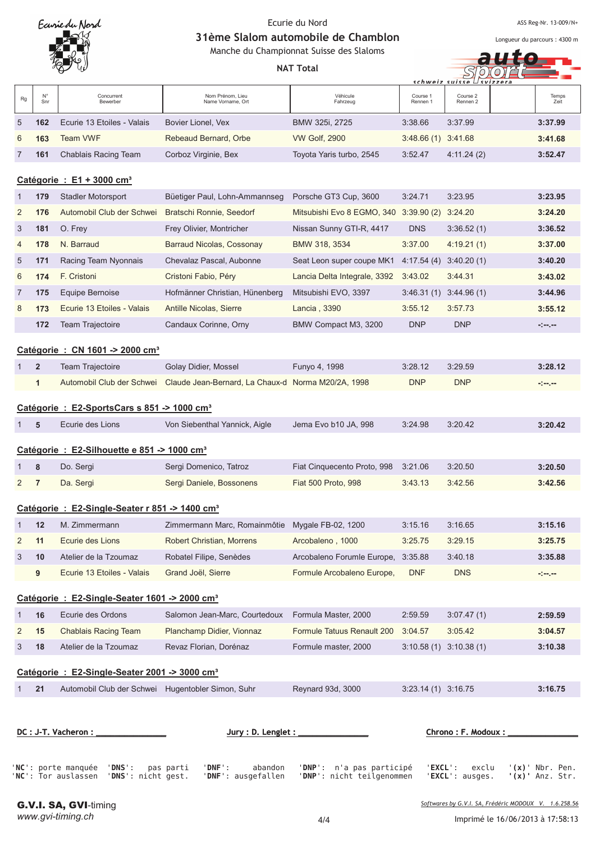

ASS Reg-Nr. 13-009/N+

Longueur du parcours : 4300 m

31ème Slalom automobile de Chamblon Manche du Championnat Suisse des Slaloms

|                |                |                                                         | Manche du Championnat Suisse des Slaloms<br><b>NAT Total</b> |                              | schweiz suisse       |                      |               |
|----------------|----------------|---------------------------------------------------------|--------------------------------------------------------------|------------------------------|----------------------|----------------------|---------------|
| Rg             | N°<br>Snr      | Concurrent<br>Bewerber                                  | Nom Prénom, Lieu<br>Name Vorname, Ort                        | Véhicule<br>Fahrzeug         | Course 1<br>Rennen 1 | Course 2<br>Rennen 2 | Temps<br>Zeit |
| 5              | 162            | Ecurie 13 Etoiles - Valais                              | Bovier Lionel, Vex                                           | BMW 325i, 2725               | 3:38.66              | 3:37.99              | 3:37.99       |
| 6              | 163            | <b>Team VWF</b>                                         | Rebeaud Bernard, Orbe                                        | <b>VW Golf, 2900</b>         | 3:48.66 (1) 3:41.68  |                      | 3:41.68       |
| $\overline{7}$ | 161            | Chablais Racing Team                                    | Corboz Virginie, Bex                                         | Toyota Yaris turbo, 2545     | 3:52.47              | 4:11.24(2)           | 3:52.47       |
|                |                | Catégorie : $E1 + 3000$ cm <sup>3</sup>                 |                                                              |                              |                      |                      |               |
| 1              | 179            | <b>Stadler Motorsport</b>                               | Büetiger Paul, Lohn-Ammannseg                                | Porsche GT3 Cup, 3600        | 3:24.71              | 3:23.95              | 3:23.95       |
| $\overline{2}$ | 176            | Automobil Club der Schwei                               | Bratschi Ronnie, Seedorf                                     | Mitsubishi Evo 8 EGMO, 340   | 3:39.90(2)           | 3:24.20              | 3:24.20       |
| 3              | 181            | O. Frey                                                 | Frey Olivier, Montricher                                     | Nissan Sunny GTI-R, 4417     | <b>DNS</b>           | 3:36.52(1)           | 3:36.52       |
| 4              | 178            | N. Barraud                                              | Barraud Nicolas, Cossonay                                    | BMW 318, 3534                | 3:37.00              | 4:19.21(1)           | 3:37.00       |
| 5              | 171            | Racing Team Nyonnais                                    | Chevalaz Pascal, Aubonne                                     | Seat Leon super coupe MK1    | 4:17.54(4)           | 3:40.20(1)           | 3:40.20       |
| 6              | 174            | F. Cristoni                                             | Cristoni Fabio, Péry                                         | Lancia Delta Integrale, 3392 | 3:43.02              | 3:44.31              | 3:43.02       |
| 7              | 175            | Equipe Bernoise                                         | Hofmänner Christian, Hünenberg                               | Mitsubishi EVO, 3397         | 3:46.31(1)           | 3:44.96(1)           | 3:44.96       |
| 8              | 173            | Ecurie 13 Etoiles - Valais                              | Antille Nicolas, Sierre                                      | Lancia, 3390                 | 3:55.12              | 3:57.73              | 3:55.12       |
|                | 172            | Team Trajectoire                                        | Candaux Corinne, Orny                                        | BMW Compact M3, 3200         | <b>DNP</b>           | <b>DNP</b>           | المرمورة      |
|                |                | Catégorie : CN 1601 -> 2000 cm <sup>3</sup>             |                                                              |                              |                      |                      |               |
| 1              | $\overline{2}$ | <b>Team Trajectoire</b>                                 | Golay Didier, Mossel                                         | Funyo 4, 1998                | 3:28.12              | 3:29.59              | 3:28.12       |
|                | $\mathbf{1}$   | Automobil Club der Schwei                               | Claude Jean-Bernard, La Chaux-d Norma M20/2A, 1998           |                              | <b>DNP</b>           | <b>DNP</b>           | المعرضة والم  |
|                |                | Catégorie : E2-SportsCars s 851 -> 1000 cm <sup>3</sup> |                                                              |                              |                      |                      |               |
| 1              | 5              | Ecurie des Lions                                        | Von Siebenthal Yannick, Aigle                                | Jema Evo b10 JA, 998         | 3:24.98              | 3:20.42              | 3:20.42       |
|                |                | Catégorie : E2-Silhouette e 851 -> 1000 cm <sup>3</sup> |                                                              |                              |                      |                      |               |
| 1              | 8              | Do. Sergi                                               | Sergi Domenico, Tatroz                                       | Fiat Cinquecento Proto, 998  | 3:21.06              | 3:20.50              | 3:20.50       |
| 2              | $\overline{7}$ | Da. Sergi                                               | Sergi Daniele, Bossonens                                     | Fiat 500 Proto, 998          | 3:43.13              | 3:42.56              | 3:42.56       |

# **Catégorie : E2-Single-Seater r 851 -> 1400 cm³**

|                | 12                                                   | M. Zimmermann              | Zimmermann Marc, Romainmôtie | Mygale FB-02, 1200                 | 3:15.16    | 3:16.65    | 3:15.16 |  |  |  |  |
|----------------|------------------------------------------------------|----------------------------|------------------------------|------------------------------------|------------|------------|---------|--|--|--|--|
| 2              | 11                                                   | Ecurie des Lions           | Robert Christian, Morrens    | Arcobaleno, 1000                   | 3:25.75    | 3:29.15    | 3:25.75 |  |  |  |  |
| 3 <sup>7</sup> | 10                                                   | Atelier de la Tzoumaz      | Robatel Filipe, Senèdes      | Arcobaleno Forumle Europe, 3:35.88 |            | 3:40.18    | 3:35.88 |  |  |  |  |
|                | 9                                                    | Ecurie 13 Etoiles - Valais | Grand Joël, Sierre           | Formule Arcobaleno Europe,         | <b>DNF</b> | <b>DNS</b> | -1-1-   |  |  |  |  |
|                | $0.44$ and $1.50$ Charle Caster 4004 $\leq 2000$ and |                            |                              |                                    |            |            |         |  |  |  |  |

### **Catégorie : E2-Single-Seater 1601 -> 2000 cm³**

|                                                          | 16 | Ecurie des Ordons           | Salomon Jean-Marc, Courtedoux | Formula Master, 2000       | 2:59.59                | 3:07.47(1)                | 2:59.59 |  |
|----------------------------------------------------------|----|-----------------------------|-------------------------------|----------------------------|------------------------|---------------------------|---------|--|
| $\sqrt{2}$                                               | 15 | <b>Chablais Racing Team</b> | Planchamp Didier, Vionnaz     | Formule Tatuus Renault 200 | 3:04.57                | 3:05.42                   | 3:04.57 |  |
| $\mathbf{3}$                                             | 18 | Atelier de la Tzoumaz       | Revaz Florian, Dorénaz        | Formule master, 2000       |                        | $3:10.58(1)$ $3:10.38(1)$ | 3:10.38 |  |
| Catégorie: E2-Single-Seater 2001 -> 3000 cm <sup>3</sup> |    |                             |                               |                            |                        |                           |         |  |
|                                                          | 21 | Automobil Club der Schwei   | Hugentobler Simon, Suhr       | Reynard 93d, 3000          | $3:23.14(1)$ $3:16.75$ |                           | 3:16.75 |  |

| DC : J-T. Vacheron :       |                                                     | Jury: $D.$ Lenglet: |                          | Chrono : F. Modoux :     |                                                      |  |  |
|----------------------------|-----------------------------------------------------|---------------------|--------------------------|--------------------------|------------------------------------------------------|--|--|
| 'NC': porte manquée 'DNS': | pas parti<br>'NC': Tor auslassen 'DNS': nicht gest. | 'DNF':<br>abandon   | 'DNP': n'a pas participé | ' <b>EXCL</b> ': ausges. | $'EXCL':$ exclu $'(x)'$ Nbr. Pen.<br>'(x)' Anz. Str. |  |  |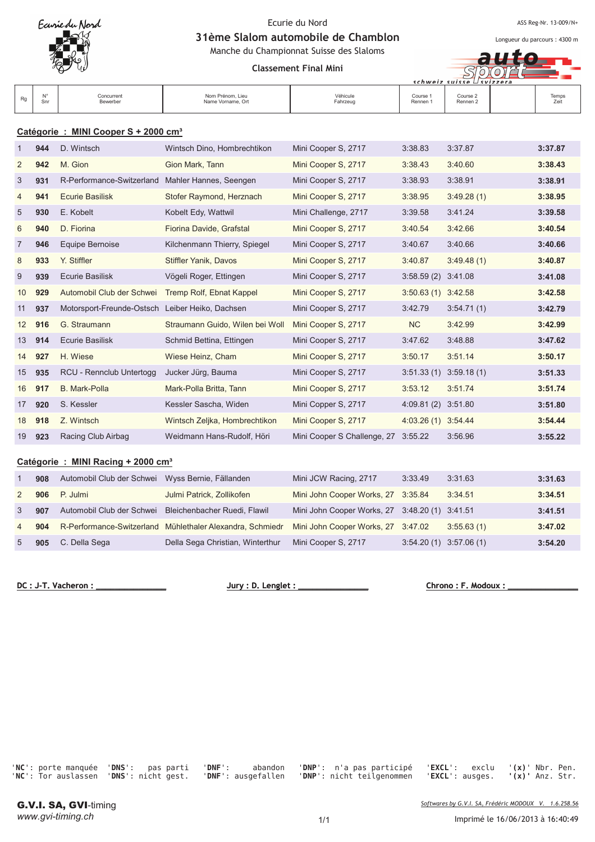

ASS Reg-Nr. 13-009/N+

Longueur du parcours : 4300 m

HO<sub>1</sub>

 $\mathbf{H}$ STOOL

31ème Slalom automobile de Chamblon Manche du Championnat Suisse des Slaloms

**Classement Final Mini** 

|    |                        |                                       |                      |                                 | $s$ chweiz suisse $\cup$ svizzera |               |
|----|------------------------|---------------------------------------|----------------------|---------------------------------|-----------------------------------|---------------|
| Ra | Concurrent<br>Bewerber | Nom Prénom, Lieu<br>Name Vorname, Ort | Véhicule<br>Fahrzeug | Course <sup>o</sup><br>Rennen 1 | Course 2<br>Rennen <sub>2</sub>   | Temps<br>Zeit |

## **Catégorie : MINI Cooper S + 2000 cm³**

| $\mathbf{1}$   | 944 | D. Wintsch                                      | Wintsch Dino, Hombrechtikon     | Mini Cooper S, 2717                 | 3:38.83                | 3:37.87    | 3:37.87 |
|----------------|-----|-------------------------------------------------|---------------------------------|-------------------------------------|------------------------|------------|---------|
| 2              | 942 | M. Gion                                         | Gion Mark, Tann                 | Mini Cooper S, 2717                 | 3:38.43                | 3:40.60    | 3:38.43 |
| 3              | 931 | R-Performance-Switzerland                       | Mahler Hannes, Seengen          | Mini Cooper S, 2717                 | 3:38.93                | 3:38.91    | 3:38.91 |
| $\overline{4}$ | 941 | <b>Ecurie Basilisk</b>                          | Stofer Raymond, Herznach        | Mini Cooper S, 2717                 | 3:38.95                | 3:49.28(1) | 3:38.95 |
| 5              | 930 | E. Kobelt                                       | Kobelt Edy, Wattwil             | Mini Challenge, 2717                | 3:39.58                | 3:41.24    | 3:39.58 |
| 6              | 940 | D. Fiorina                                      | Fiorina Davide, Grafstal        | Mini Cooper S, 2717                 | 3:40.54                | 3:42.66    | 3:40.54 |
| $\overline{7}$ | 946 | <b>Equipe Bernoise</b>                          | Kilchenmann Thierry, Spiegel    | Mini Cooper S, 2717                 | 3:40.67                | 3:40.66    | 3:40.66 |
| 8              | 933 | Y. Stiffler                                     | Stiffler Yanik, Davos           | Mini Cooper S, 2717                 | 3:40.87                | 3:49.48(1) | 3:40.87 |
| 9              | 939 | <b>Ecurie Basilisk</b>                          | Vögeli Roger, Ettingen          | Mini Cooper S, 2717                 | 3:58.59(2)             | 3:41.08    | 3:41.08 |
| 10             | 929 | Automobil Club der Schwei                       | Tremp Rolf, Ebnat Kappel        | Mini Cooper S, 2717                 | $3:50.63(1)$ $3:42.58$ |            | 3:42.58 |
| 11             | 937 | Motorsport-Freunde-Ostsch Leiber Heiko, Dachsen |                                 | Mini Cooper S, 2717                 | 3:42.79                | 3:54.71(1) | 3:42.79 |
| 12             | 916 | G. Straumann                                    | Straumann Guido, Wilen bei Woll | Mini Cooper S, 2717                 | <b>NC</b>              | 3:42.99    | 3:42.99 |
| 13             | 914 | <b>Ecurie Basilisk</b>                          | Schmid Bettina, Ettingen        | Mini Cooper S, 2717                 | 3:47.62                | 3:48.88    | 3:47.62 |
| 14             | 927 | H. Wiese                                        | Wiese Heinz, Cham               | Mini Cooper S, 2717                 | 3:50.17                | 3:51.14    | 3:50.17 |
| 15             | 935 | RCU - Rennclub Untertogg                        | Jucker Jürg, Bauma              | Mini Cooper S, 2717                 | 3:51.33(1)             | 3:59.18(1) | 3:51.33 |
| 16             | 917 | <b>B.</b> Mark-Polla                            | Mark-Polla Britta, Tann         | Mini Cooper S, 2717                 | 3:53.12                | 3:51.74    | 3:51.74 |
| 17             | 920 | S. Kessler                                      | Kessler Sascha, Widen           | Mini Copper S, 2717                 | 4:09.81 (2) 3:51.80    |            | 3:51.80 |
| 18             | 918 | Z. Wintsch                                      | Wintsch Zeljka, Hombrechtikon   | Mini Cooper S, 2717                 | 4:03.26(1)             | 3:54.44    | 3:54.44 |
| 19             | 923 | Racing Club Airbag                              | Weidmann Hans-Rudolf, Höri      | Mini Cooper S Challenge, 27 3:55.22 |                        | 3:56.96    | 3:55.22 |
|                |     | Catégorie : MINI Racing + 2000 cm <sup>3</sup>  |                                 |                                     |                        |            |         |
| 1              | 908 | Automobil Club der Schwei                       | Wyss Bernie, Fällanden          | Mini JCW Racing, 2717               | 3:33.49                | 3:31.63    | 3:31.63 |
| $\overline{2}$ | 906 | P. Julmi                                        | Julmi Patrick, Zollikofen       | Mini John Cooper Works, 27          | 3:35.84                | 3:34.51    | 3:34.51 |

|                |     | Z JUD FJUILLI            | JUIIIII FAILIUN, LUIIINUIEII                                                                     | $\frac{1}{2}$ 101111 COODEL VVOLAS, 21 3.33.64 3.34.31 |                           | <b>J.J4.J</b> |
|----------------|-----|--------------------------|--------------------------------------------------------------------------------------------------|--------------------------------------------------------|---------------------------|---------------|
|                | 907 |                          | Automobil Club der Schwei Bleichenbacher Ruedi, Flawil                                           | Mini John Cooper Works, 27 3:48.20 (1) 3:41.51         |                           | 3:41.51       |
| $\overline{4}$ |     |                          | 904 R-Performance-Switzerland Mühlethaler Alexandra, Schmiedr Mini John Cooper Works, 27 3:47.02 |                                                        | 3:55.63(1)                | 3:47.02       |
| 5              |     | <b>905</b> C. Della Sega | Della Sega Christian, Winterthur                                                                 | Mini Cooper S, 2717                                    | $3:54.20(1)$ $3:57.06(1)$ | 3:54.20       |

DC : J-T. Vacheron :

 $Jury: D. Length:$ 

 **#**

'NC': porte manquée 'DNS': pas pa 'NC': Tor auslassen 'DNS': nicht gest. 'DNF':

rti 'DNF': aba ausgefa

ndon 'DNP': n'a pas participé 'EXC llen 'DNP': nicht teilgenommen 'EXC

**L**': exclu '( '(x)' Nbr. Pen. **L**': ausges. '(  $\binom{n}{x}$  Anz. Str.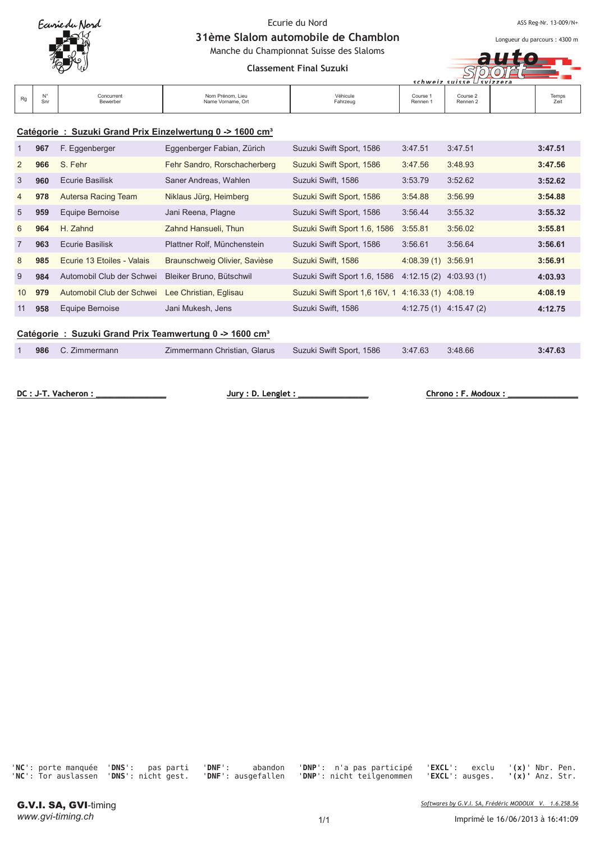

ASS Reg-Nr. 13-009/N+

Longueur du parcours : 4300 m

to

 $SIO$ 

31ème Slalom automobile de Chamblon Manche du Championnat Suisse des Slaloms

**Classement Final Suzuki** 

| schweiz suisse ⊔svizzera |     |                             |                                       |                      |                      |                      |  |               |
|--------------------------|-----|-----------------------------|---------------------------------------|----------------------|----------------------|----------------------|--|---------------|
| Ra                       | :nr | Concurrent<br>Bewerber<br>. | Nom Prénom, Lieu<br>Name Vorname, Ort | Véhicule<br>Fahrzeug | Course :<br>Rennen 1 | Course 2<br>Rennen 2 |  | Temps<br>Zeit |

## **Catégorie : Suzuki Grand Prix Einzelwertung 0 -> 1600 cm³**

| $\mathbf{1}$   | 967                                                                 | F. Eggenberger             | Eggenberger Fabian, Zürich    | Suzuki Swift Sport, 1586                          | 3:47.51                   | 3:47.51 | 3:47.51 |  |  |  |  |
|----------------|---------------------------------------------------------------------|----------------------------|-------------------------------|---------------------------------------------------|---------------------------|---------|---------|--|--|--|--|
| $\overline{2}$ | 966                                                                 | S. Fehr                    | Fehr Sandro, Rorschacherberg  | Suzuki Swift Sport, 1586                          | 3:47.56                   | 3:48.93 | 3:47.56 |  |  |  |  |
| 3              | 960                                                                 | Ecurie Basilisk            | Saner Andreas, Wahlen         | Suzuki Swift, 1586                                | 3:53.79                   | 3:52.62 | 3:52.62 |  |  |  |  |
| 4              | 978                                                                 | <b>Autersa Racing Team</b> | Niklaus Jürg, Heimberg        | Suzuki Swift Sport, 1586                          | 3:54.88                   | 3:56.99 | 3:54.88 |  |  |  |  |
| 5              | 959                                                                 | Equipe Bernoise            | Jani Reena, Plagne            | Suzuki Swift Sport, 1586                          | 3:56.44                   | 3:55.32 | 3:55.32 |  |  |  |  |
| 6              | 964                                                                 | H. Zahnd                   | Zahnd Hansueli, Thun          | Suzuki Swift Sport 1.6, 1586                      | 3:55.81                   | 3:56.02 | 3:55.81 |  |  |  |  |
| $\overline{7}$ | 963                                                                 | Ecurie Basilisk            | Plattner Rolf. Münchenstein   | Suzuki Swift Sport, 1586                          | 3:56.61                   | 3:56.64 | 3:56.61 |  |  |  |  |
| 8              | 985                                                                 | Ecurie 13 Etoiles - Valais | Braunschweig Olivier, Savièse | Suzuki Swift, 1586                                | 4:08.39 (1) 3:56.91       |         | 3:56.91 |  |  |  |  |
| 9              | 984                                                                 | Automobil Club der Schwei  | Bleiker Bruno, Bütschwil      | Suzuki Swift Sport 1.6, 1586                      | $4:12.15(2)$ $4:03.93(1)$ |         | 4:03.93 |  |  |  |  |
| 10             | 979                                                                 | Automobil Club der Schwei  | Lee Christian, Eglisau        | Suzuki Swift Sport 1,6 16V, 1 4:16.33 (1) 4:08.19 |                           |         | 4:08.19 |  |  |  |  |
| 11             | 958                                                                 | Equipe Bernoise            | Jani Mukesh, Jens             | Suzuki Swift, 1586                                | $4:12.75(1)$ $4:15.47(2)$ |         | 4:12.75 |  |  |  |  |
|                | Catégorie : Suzuki Grand Prix Teamwertung 0 -> 1600 cm <sup>3</sup> |                            |                               |                                                   |                           |         |         |  |  |  |  |

1 **986** C. Zimmermann Zimmermann Christian, Glarus Suzuki Swift Sport, 1586 3:47.63 3:48.66 **3:47.63**

<u>**no : F. Modoux : \_**</u>

**DC: J-T. Vacheron:** 

 $Jury: D. Length:$ 

'NC': porte manquée 'DNS': pas pa 'NC': Tor auslassen 'DNS': nicht gest. 'DNF':

rti 'DNF': aba ausgefa

ndon 'DNP': n'a pas participé 'EXC llen 'DNP': nicht teilgenommen 'EXC

**L**': exclu '( '(x)' Nbr. Pen. **L**': ausges. '(  $\binom{n}{x}$  Anz. Str.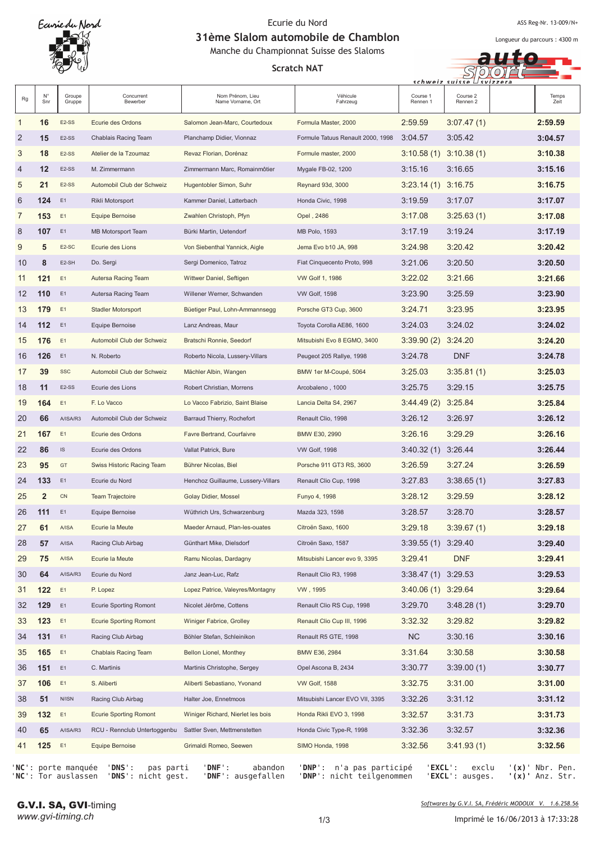

ASS Reg-Nr. 13-009/N+

Longueur du parcours : 4300 m

 $S$ 

 $schwaiz<sub>1</sub>$ 

Õ

31ème Slalom automobile de Chamblon Manche du Championnat Suisse des Slaloms

**Scratch NAT** 

| Rg             | $N^{\circ}$<br>Snr | Groupe<br>Gruppe   | Concurrent<br>Bewerber                  | Nom Prénom, Lieu<br>Name Vorname, Ort | Véhicule<br>Fahrzeug              | Course 1<br>Rennen 1   | Course 2<br>Rennen 2 | Temps<br>Zeit    |
|----------------|--------------------|--------------------|-----------------------------------------|---------------------------------------|-----------------------------------|------------------------|----------------------|------------------|
| 1              | 16                 | E <sub>2</sub> -SS | Ecurie des Ordons                       | Salomon Jean-Marc, Courtedoux         | Formula Master, 2000              | 2:59.59                | 3:07.47(1)           | 2:59.59          |
| $\overline{2}$ | 15                 | E2-SS              | Chablais Racing Team                    | Planchamp Didier, Vionnaz             | Formule Tatuus Renault 2000, 1998 | 3:04.57                | 3:05.42              | 3:04.57          |
| 3              | 18                 | E <sub>2</sub> -SS | Atelier de la Tzoumaz                   | Revaz Florian, Dorénaz                | Formule master, 2000              | 3:10.58 (1)            | 3:10.38(1)           | 3:10.38          |
| $\overline{4}$ | 12                 | E2-SS              | M. Zimmermann                           | Zimmermann Marc, Romainmôtier         | Mygale FB-02, 1200                | 3:15.16                | 3:16.65              | 3:15.16          |
| 5              | 21                 | E <sub>2</sub> -SS | Automobil Club der Schweiz              | Hugentobler Simon, Suhr               | Reynard 93d, 3000                 | 3:23.14(1)             | 3:16.75              | 3:16.75          |
| 6              | 124                | E <sub>1</sub>     | Rikli Motorsport                        | Kammer Daniel, Latterbach             | Honda Civic, 1998                 | 3:19.59                | 3:17.07              | 3:17.07          |
| $\overline{7}$ | 153                | E1                 | Equipe Bernoise                         | Zwahlen Christoph, Pfyn               | Opel, 2486                        | 3:17.08                | 3:25.63(1)           | 3:17.08          |
| 8              | 107                | E <sub>1</sub>     | MB Motorsport Team                      | Bürki Martin, Uetendorf               | <b>MB Polo, 1593</b>              | 3:17.19                | 3:19.24              | 3:17.19          |
| 9              | 5                  | E <sub>2</sub> -SC | Ecurie des Lions                        | Von Siebenthal Yannick, Aigle         | Jema Evo b10 JA, 998              | 3:24.98                | 3:20.42              | 3:20.42          |
| 10             | 8                  | E2-SH              | Do. Sergi                               | Sergi Domenico, Tatroz                | Fiat Cinquecento Proto, 998       | 3:21.06                | 3:20.50              | 3:20.50          |
| 11             | 121                | E1                 | Autersa Racing Team                     | Wittwer Daniel, Seftigen              | <b>VW Golf 1, 1986</b>            | 3:22.02                | 3:21.66              | 3:21.66          |
| 12             | 110                | E <sub>1</sub>     | Autersa Racing Team                     | Willener Werner, Schwanden            | <b>VW Golf, 1598</b>              | 3:23.90                | 3:25.59              | 3:23.90          |
| 13             | 179                | E1                 | Stadler Motorsport                      | Büetiger Paul, Lohn-Ammannsegg        | Porsche GT3 Cup, 3600             | 3:24.71                | 3:23.95              | 3:23.95          |
| 14             | 112                | E1                 | Equipe Bernoise                         | Lanz Andreas, Maur                    | Toyota Corolla AE86, 1600         | 3:24.03                | 3:24.02              | 3:24.02          |
| 15             | 176                | E <sub>1</sub>     | Automobil Club der Schweiz              | Bratschi Ronnie, Seedorf              | Mitsubishi Evo 8 EGMO, 3400       | 3:39.90 (2)            | 3:24.20              | 3:24.20          |
| 16             | 126                | E <sub>1</sub>     | N. Roberto                              | Roberto Nicola, Lussery-Villars       | Peugeot 205 Rallye, 1998          | 3:24.78                | <b>DNF</b>           | 3:24.78          |
| 17             | 39                 | <b>SSC</b>         | Automobil Club der Schweiz              | Mächler Albin, Wangen                 | BMW 1er M-Coupé, 5064             | 3:25.03                | 3:35.81(1)           | 3:25.03          |
| 18             | 11                 | E <sub>2</sub> -SS | Ecurie des Lions                        | Robert Christian, Morrens             | Arcobaleno, 1000                  | 3:25.75                | 3:29.15              | 3:25.75          |
| 19             | 164                | E1                 | F. Lo Vacco                             | Lo Vacco Fabrizio, Saint Blaise       | Lancia Delta S4, 2967             | 3:44.49 (2)            | 3:25.84              | 3:25.84          |
| 20             | 66                 | A/ISA/R3           | Automobil Club der Schweiz              | Barraud Thierry, Rochefort            | Renault Clio, 1998                | 3:26.12                | 3:26.97              | 3:26.12          |
| 21             | 167                | E1                 | Ecurie des Ordons                       | Favre Bertrand, Courfaivre            | BMW E30, 2990                     | 3:26.16                | 3:29.29              | 3:26.16          |
| 22             | 86                 | IS                 | Ecurie des Ordons                       | Vallat Patrick, Bure                  | <b>VW Golf, 1998</b>              | 3:40.32 (1)            | 3:26.44              | 3:26.44          |
| 23             | 95                 | GT                 | Swiss Historic Racing Team              | Bührer Nicolas, Biel                  | Porsche 911 GT3 RS, 3600          | 3:26.59                | 3:27.24              | 3:26.59          |
| 24             | 133                | E <sub>1</sub>     | Ecurie du Nord                          | Henchoz Guillaume, Lussery-Villars    | Renault Clio Cup, 1998            | 3:27.83                | 3:38.65(1)           | 3:27.83          |
| 25             | $\overline{2}$     | ${\sf CN}$         | <b>Team Trajectoire</b>                 | Golay Didier, Mossel                  | Funyo 4, 1998                     | 3:28.12                | 3:29.59              | 3:28.12          |
| 26             | 111                | E <sub>1</sub>     | Equipe Bernoise                         | Wüthrich Urs, Schwarzenburg           | Mazda 323, 1598                   | 3:28.57                | 3:28.70              | 3:28.57          |
| 27             | 61                 | <b>A/ISA</b>       | Ecurie la Meute                         | Maeder Arnaud, Plan-les-ouates        | Citroën Saxo, 1600                | 3:29.18                | 3:39.67(1)           | 3:29.18          |
| 28             | 57                 | <b>A/ISA</b>       | Racing Club Airbag                      | Günthart Mike, Dielsdorf              | Citroën Saxo, 1587                | 3:39.55 (1) 3:29.40    |                      | 3:29.40          |
| 29             | 75                 | A/ISA              | Ecurie la Meute                         | Ramu Nicolas, Dardagny                | Mitsubishi Lancer evo 9, 3395     | 3:29.41                | <b>DNF</b>           | 3:29.41          |
| 30             | 64                 | A/ISA/R3           | Ecurie du Nord                          | Janz Jean-Luc, Rafz                   | Renault Clio R3, 1998             | 3:38.47 (1) 3:29.53    |                      | 3:29.53          |
| 31             | 122                | E1                 | P. Lopez                                | Lopez Patrice, Valeyres/Montagny      | VW, 1995                          | $3:40.06(1)$ $3:29.64$ |                      | 3:29.64          |
| 32             | 129                | E1                 | <b>Ecurie Sporting Romont</b>           | Nicolet Jérôme, Cottens               | Renault Clio RS Cup, 1998         | 3:29.70                | 3:48.28(1)           | 3:29.70          |
| 33             | 123                | E1                 | <b>Ecurie Sporting Romont</b>           | Winiger Fabrice, Grolley              | Renault Clio Cup III, 1996        | 3:32.32                | 3:29.82              | 3:29.82          |
| 34             | 131                | E1                 | Racing Club Airbag                      | Böhler Stefan, Schleinikon            | Renault R5 GTE, 1998              | <b>NC</b>              | 3:30.16              | 3:30.16          |
| 35             | 165                | E1                 | Chablais Racing Team                    | <b>Bellon Lionel, Monthey</b>         | BMW E36, 2984                     | 3:31.64                | 3:30.58              | 3:30.58          |
| 36             | 151                | E <sub>1</sub>     | C. Martinis                             | Martinis Christophe, Sergey           | Opel Ascona B, 2434               | 3:30.77                | 3:39.00(1)           | 3:30.77          |
| 37             | 106                | E1                 | S. Aliberti                             | Aliberti Sebastiano, Yvonand          | <b>VW Golf, 1588</b>              | 3:32.75                | 3:31.00              | 3:31.00          |
| 38             | 51                 | N/ISN              | Racing Club Airbag                      | Halter Joe, Ennetmoos                 | Mitsubishi Lancer EVO VII, 3395   | 3:32.26                | 3:31.12              | 3:31.12          |
| 39             | 132                | E1                 | <b>Ecurie Sporting Romont</b>           | Winiger Richard, Nierlet les bois     | Honda Rikli EVO 3, 1998           | 3:32.57                | 3:31.73              | 3:31.73          |
| 40             | 65                 | A/ISA/R3           | RCU - Rennclub Untertoggenbu            | Sattler Sven, Mettmenstetten          | Honda Civic Type-R, 1998          | 3:32.36                | 3:32.57              | 3:32.36          |
| 41             | 125                | E1                 | Equipe Bernoise                         | Grimaldi Romeo, Seewen                | SIMO Honda, 1998                  | 3:32.56                | 3:41.93(1)           | 3:32.56          |
|                |                    |                    | 'NC': porte manquée 'DNS':<br>pas parti | 'DNF':<br>abandon                     | 'DNP': n'a pas participé          |                        | 'EXCL' :<br>exclu    | $'(x)$ Nbr. Pen. |

'NC': Tor auslassen 'DNS': nicht gest. 'DNF':

**L**': ausges. '(

**x)'** Anz. Str.

llen 'DNP': nicht teilgenommen 'EXC

ausgefa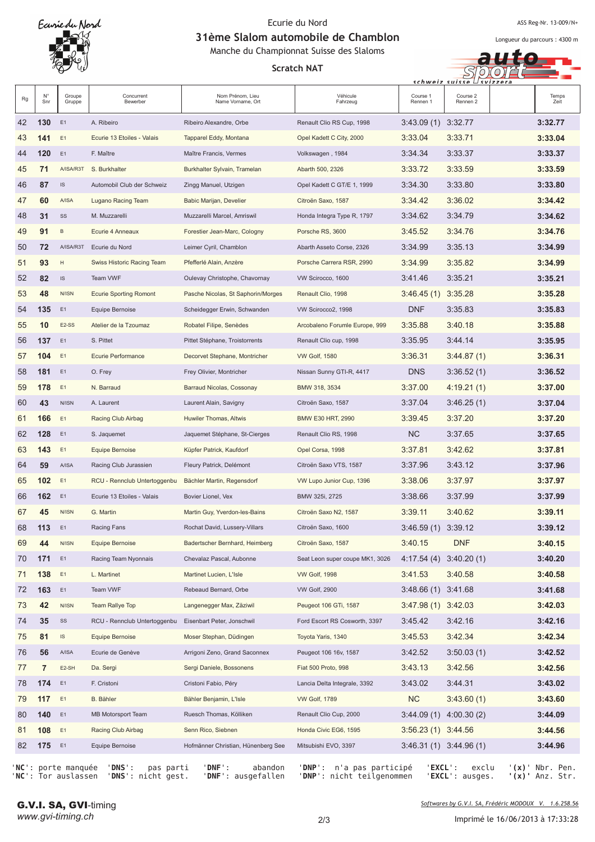ASS Reg-Nr. 13-009/N+

Longueur du parcours : 4300 m

 $\epsilon$ 

a  $SDOO$ 

31ème Slalom automobile de Chamblon Manche du Championnat Suisse des Slaloms

**Scratch NAT** 

|    |                |                                   |                                        |                                       |                                 |                        | schweiz suisse ⊔svizzera  |                  |
|----|----------------|-----------------------------------|----------------------------------------|---------------------------------------|---------------------------------|------------------------|---------------------------|------------------|
| Rg | N°<br>Snr      | Groupe<br>Gruppe                  | Concurrent<br>Bewerber                 | Nom Prénom, Lieu<br>Name Vorname, Ort | Véhicule<br>Fahrzeug            | Course 1<br>Rennen 1   | Course 2<br>Rennen 2      | Temps<br>Zeit    |
| 42 | 130            | E <sub>1</sub>                    | A. Ribeiro                             | Ribeiro Alexandre, Orbe               | Renault Clio RS Cup, 1998       | 3:43.09 (1) 3:32.77    |                           | 3:32.77          |
| 43 | 141            | E1                                | Ecurie 13 Etoiles - Valais             | Tapparel Eddy, Montana                | Opel Kadett C City, 2000        | 3:33.04                | 3:33.71                   | 3:33.04          |
| 44 | 120            | E <sub>1</sub>                    | F. Maître                              | Maître Francis, Vermes                | Volkswagen, 1984                | 3:34.34                | 3:33.37                   | 3:33.37          |
| 45 | 71             | A/ISA/R3T                         | S. Burkhalter                          | Burkhalter Sylvain, Tramelan          | Abarth 500, 2326                | 3:33.72                | 3:33.59                   | 3:33.59          |
| 46 | 87             | $\ensuremath{\mathsf{IS}}\xspace$ | Automobil Club der Schweiz             | Zingg Manuel, Utzigen                 | Opel Kadett C GT/E 1, 1999      | 3:34.30                | 3:33.80                   | 3:33.80          |
| 47 | 60             | <b>A/ISA</b>                      | Lugano Racing Team                     | Babic Marijan, Develier               | Citroën Saxo, 1587              | 3:34.42                | 3:36.02                   | 3:34.42          |
| 48 | 31             | SS                                | M. Muzzarelli                          | Muzzarelli Marcel, Amriswil           | Honda Integra Type R, 1797      | 3:34.62                | 3:34.79                   | 3:34.62          |
| 49 | 91             | B                                 | Ecurie 4 Anneaux                       | Forestier Jean-Marc, Cologny          | Porsche RS, 3600                | 3:45.52                | 3:34.76                   | 3:34.76          |
| 50 | 72             | A/ISA/R3T                         | Ecurie du Nord                         | Leimer Cyril, Chamblon                | Abarth Asseto Corse, 2326       | 3:34.99                | 3:35.13                   | 3:34.99          |
| 51 | 93             | H                                 | Swiss Historic Racing Team             | Pfefferlé Alain, Anzère               | Porsche Carrera RSR, 2990       | 3:34.99                | 3:35.82                   | 3:34.99          |
| 52 | 82             | $\ensuremath{\mathsf{IS}}\xspace$ | Team VWF                               | Oulevay Christophe, Chavornay         | VW Scirocco, 1600               | 3:41.46                | 3:35.21                   | 3:35.21          |
| 53 | 48             | N/ISN                             | <b>Ecurie Sporting Romont</b>          | Pasche Nicolas, St Saphorin/Morges    | Renault Clio, 1998              | 3:46.45(1)             | 3:35.28                   | 3:35.28          |
| 54 | 135            | E <sub>1</sub>                    | Equipe Bernoise                        | Scheidegger Erwin, Schwanden          | VW Scirocco2, 1998              | <b>DNF</b>             | 3:35.83                   | 3:35.83          |
| 55 | 10             | E <sub>2</sub> -SS                | Atelier de la Tzoumaz                  | Robatel Filipe, Senèdes               | Arcobaleno Forumle Europe, 999  | 3:35.88                | 3:40.18                   | 3:35.88          |
| 56 | 137            | E <sub>1</sub>                    | S. Pittet                              | Pittet Stéphane, Troistorrents        | Renault Clio cup, 1998          | 3:35.95                | 3:44.14                   | 3:35.95          |
| 57 | 104            | E1                                | <b>Ecurie Performance</b>              | Decorvet Stephane, Montricher         | <b>VW Golf, 1580</b>            | 3:36.31                | 3:44.87(1)                | 3:36.31          |
| 58 | 181            | E1                                | O. Frey                                | Frey Olivier, Montricher              | Nissan Sunny GTI-R, 4417        | <b>DNS</b>             | 3:36.52(1)                | 3:36.52          |
| 59 | 178            | E1                                | N. Barraud                             | Barraud Nicolas, Cossonay             | BMW 318, 3534                   | 3:37.00                | 4:19.21(1)                | 3:37.00          |
| 60 | 43             | N/ISN                             | A. Laurent                             | Laurent Alain, Savigny                | Citroën Saxo, 1587              | 3:37.04                | 3:46.25(1)                | 3:37.04          |
| 61 | 166            | E1                                | Racing Club Airbag                     | Huwiler Thomas, Altwis                | BMW E30 HRT, 2990               | 3:39.45                | 3:37.20                   | 3:37.20          |
| 62 | 128            | E <sub>1</sub>                    | S. Jaquemet                            | Jaquemet Stéphane, St-Cierges         | Renault Clio RS, 1998           | <b>NC</b>              | 3:37.65                   | 3:37.65          |
| 63 | 143            | E <sub>1</sub>                    | Equipe Bernoise                        | Küpfer Patrick, Kaufdorf              | Opel Corsa, 1998                | 3:37.81                | 3:42.62                   | 3:37.81          |
| 64 | 59             | A/ISA                             | Racing Club Jurassien                  | Fleury Patrick, Delémont              | Citroën Saxo VTS, 1587          | 3:37.96                | 3:43.12                   | 3:37.96          |
| 65 | 102            | E1                                | RCU - Rennclub Untertoggenbu           | Bächler Martin, Regensdorf            | VW Lupo Junior Cup, 1396        | 3:38.06                | 3:37.97                   | 3:37.97          |
| 66 | 162            | E1                                | Ecurie 13 Etoiles - Valais             | Bovier Lionel, Vex                    | BMW 325i, 2725                  | 3:38.66                | 3:37.99                   | 3:37.99          |
| 67 | 45             | N/ISN                             | G. Martin                              | Martin Guy, Yverdon-les-Bains         | Citroën Saxo N2, 1587           | 3:39.11                | 3:40.62                   | 3:39.11          |
| 68 | 113 E1         |                                   | Racing Fans                            | Rochat David, Lussery-Villars         | Citroën Saxo, 1600              | 3:46.59 (1) 3:39.12    |                           | 3:39.12          |
| 69 | 44             | N/ISN                             | Equipe Bernoise                        | Badertscher Bernhard, Heimberg        | Citroën Saxo, 1587              | 3:40.15                | <b>DNF</b>                | 3:40.15          |
| 70 | 171            | E <sub>1</sub>                    | Racing Team Nyonnais                   | Chevalaz Pascal, Aubonne              | Seat Leon super coupe MK1, 3026 |                        | $4:17.54(4)$ 3:40.20(1)   | 3:40.20          |
| 71 | 138            | E <sub>1</sub>                    | L. Martinet                            | Martinet Lucien, L'Isle               | <b>VW Golf, 1998</b>            | 3:41.53                | 3:40.58                   | 3:40.58          |
| 72 | 163            | E <sub>1</sub>                    | Team VWF                               | Rebeaud Bernard, Orbe                 | <b>VW Golf, 2900</b>            | $3:48.66(1)$ $3:41.68$ |                           | 3:41.68          |
| 73 | 42             | N/ISN                             | Team Rallye Top                        | Langenegger Max, Zäziwil              | Peugeot 106 GTi, 1587           | $3:47.98(1)$ $3:42.03$ |                           | 3:42.03          |
| 74 | 35             | SS                                | RCU - Rennclub Untertoggenbu           | Eisenbart Peter, Jonschwil            | Ford Escort RS Cosworth, 3397   | 3:45.42                | 3:42.16                   | 3:42.16          |
| 75 | 81             | IS                                | Equipe Bernoise                        | Moser Stephan, Düdingen               | Toyota Yaris, 1340              | 3:45.53                | 3:42.34                   | 3:42.34          |
| 76 | 56             | A/ISA                             | Ecurie de Genève                       | Arrigoni Zeno, Grand Saconnex         | Peugeot 106 16v, 1587           | 3:42.52                | 3:50.03(1)                | 3:42.52          |
| 77 | $\overline{7}$ | E2-SH                             | Da. Sergi                              | Sergi Daniele, Bossonens              | Fiat 500 Proto, 998             | 3:43.13                | 3:42.56                   | 3:42.56          |
| 78 | 174            | E1                                | F. Cristoni                            | Cristoni Fabio, Péry                  | Lancia Delta Integrale, 3392    | 3:43.02                | 3:44.31                   | 3:43.02          |
| 79 | 117            | E1                                | B. Bähler                              | Bähler Benjamin, L'Isle               | <b>VW Golf, 1789</b>            | NC.                    | 3:43.60(1)                | 3:43.60          |
| 80 | 140            | E1                                | <b>MB Motorsport Team</b>              | Ruesch Thomas, Kölliken               | Renault Clio Cup, 2000          |                        | $3:44.09(1)$ 4:00.30(2)   | 3:44.09          |
| 81 | 108            | E1                                | Racing Club Airbag                     | Senn Rico, Siebnen                    | Honda Civic EG6, 1595           | $3:56.23(1)$ $3:44.56$ |                           | 3:44.56          |
| 82 | 175 E1         |                                   | Equipe Bernoise                        | Hofmänner Christian, Hünenberg See    | Mitsubishi EVO, 3397            |                        | $3:46.31(1)$ $3:44.96(1)$ | 3:44.96          |
|    |                |                                   | NC': porte manquée 'DNS':<br>pas parti | abandon<br>'DNF':                     | 'DNP': n'a pas participé        |                        | 'EXCL':<br>exclu          | $'(x)$ Nbr. Pen. |

G.V.I. SA, GVI-timing

'NC': Tor auslassen 'DNS': nicht gest. 'DNF':

2/3

llen 'DNP': nicht teilgenommen 'EXC

ausgefa

<u>*Softwares by G.V.I. SA, Frédéric MODOUX V. 1.6.258.56*</u>

**L**': ausges. '(

**x)'** Anz. Str.